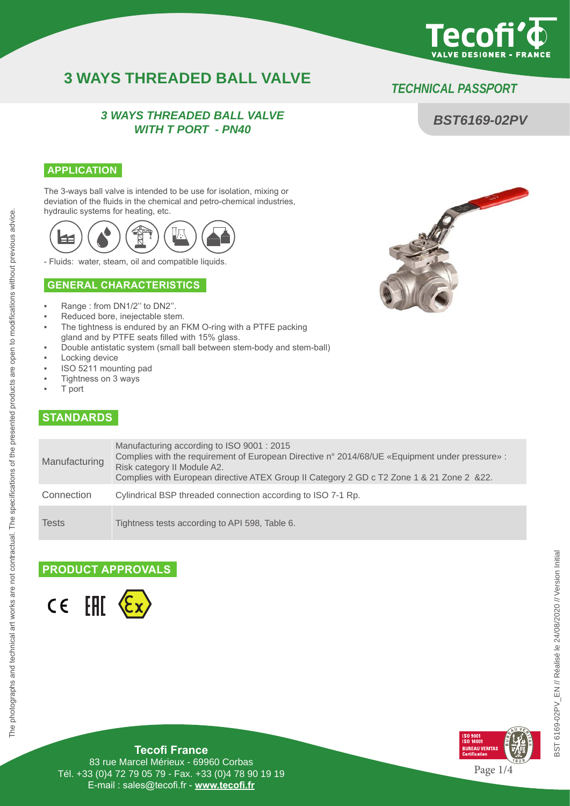

*BST6169-02PV*

## **3 WAYS THREADED BALL VALVE** *TECHNICAL PASS*P*ORT*

#### *3 WAYS THREADED BALL VALVE WITH T PORT - PN40*

#### **APPLICATION**

The 3-ways ball valve is intended to be use for isolation, mixing or deviation of the fluids in the chemical and petro-chemical industries, hydraulic systems for heating, etc.



- Fluids: water, steam, oil and compatible liquids.

#### **GENERAL CHARACTERISTICS**

- Range : from DN1/2'' to DN2''.
- Reduced bore, inejectable stem.
- The tightness is endured by an FKM O-ring with a PTFE packing
- gland and by PTFE seats filled with 15% glass.
- Double antistatic system (small ball between stem-body and stem-ball)
- Locking device
- ISO 5211 mounting pad
- Tightness on 3 ways
- T port

#### **STANDARDS**

| Manufacturing | Manufacturing according to ISO 9001 : 2015<br>Complies with the requirement of European Directive n° 2014/68/UE «Equipment under pressure» :<br>Risk category II Module A2.<br>Complies with European directive ATEX Group II Category 2 GD c T2 Zone 1 & 21 Zone 2 & 22. |
|---------------|---------------------------------------------------------------------------------------------------------------------------------------------------------------------------------------------------------------------------------------------------------------------------|
| Connection    | Cylindrical BSP threaded connection according to ISO 7-1 Rp.                                                                                                                                                                                                              |
| Tests         | Tightness tests according to API 598, Table 6.                                                                                                                                                                                                                            |

#### **PRODUCT APPROVALS**





**Tecofi France**

83 rue Marcel Mérieux - 69960 Corbas Tél. +33 (0)4 72 79 05 79 - Fax. +33 (0)4 78 90 19 19 E-mail : sales@tecofi.fr - **www.tecofi.fr**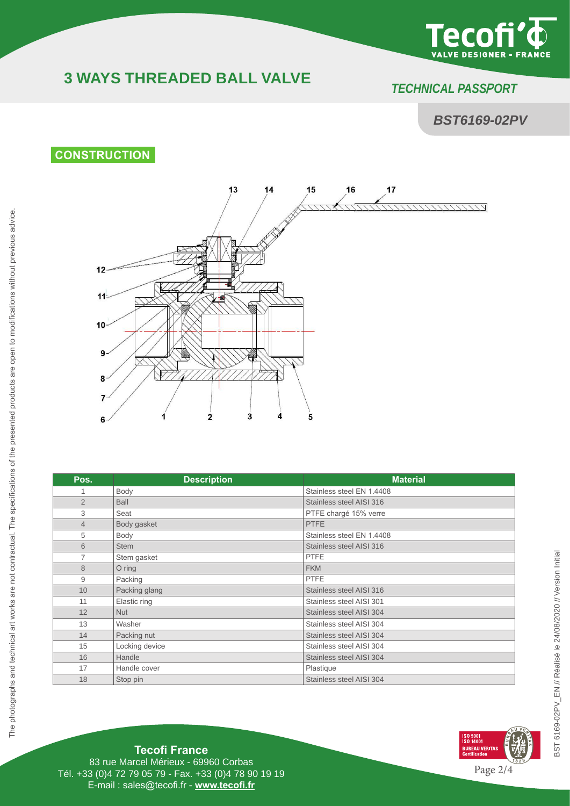

# **3 WAYS THREADED BALL VALVE** *TECHNICAL PASS*P*ORT*

### *BST6169-02PV*

## **CONSTRUCTION**



| Pos.           | <b>Description</b> | <b>Material</b>           |
|----------------|--------------------|---------------------------|
| 1              | Body               | Stainless steel EN 1.4408 |
| $\overline{2}$ | <b>Ball</b>        | Stainless steel AISI 316  |
| 3              | Seat               | PTFE chargé 15% verre     |
| $\overline{4}$ | Body gasket        | <b>PTFE</b>               |
| 5              | Body               | Stainless steel EN 1.4408 |
| 6              | <b>Stem</b>        | Stainless steel AISI 316  |
| 7              | Stem gasket        | <b>PTFE</b>               |
| 8              | $O$ ring           | <b>FKM</b>                |
| 9              | Packing            | <b>PTFE</b>               |
| 10             | Packing glang      | Stainless steel AISI 316  |
| 11             | Elastic ring       | Stainless steel AISI 301  |
| 12             | <b>Nut</b>         | Stainless steel AISI 304  |
| 13             | Washer             | Stainless steel AISI 304  |
| 14             | Packing nut        | Stainless steel AISI 304  |
| 15             | Locking device     | Stainless steel AISI 304  |
| 16             | Handle             | Stainless steel AISI 304  |
| 17             | Handle cover       | Plastique                 |
| 18             | Stop pin           | Stainless steel AISI 304  |



### **Tecofi France**

83 rue Marcel Mérieux - 69960 Corbas Tél. +33 (0)4 72 79 05 79 - Fax. +33 (0)4 78 90 19 19 E-mail : sales@tecofi.fr - **www.tecofi.fr**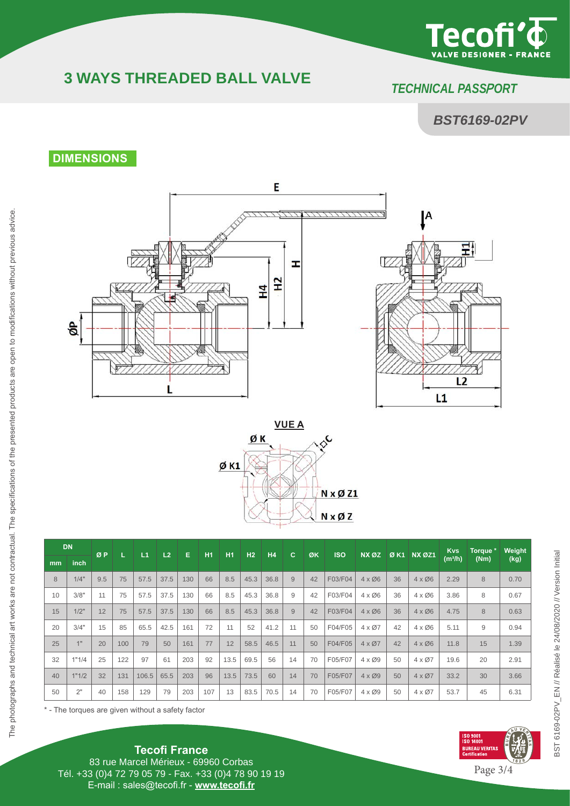

# **3 WAYS THREADED BALL VALVE** *TECHNICAL PASS*P*ORT*

## *BST6169-02PV*

### **DIMENSIONS**







|    | <b>DN</b>       | ØP  |     | L1    | L2   | Е   | <b>H1</b> | <b>H1</b> | H <sub>2</sub> | H <sub>4</sub> | c  | ØK | <b>ISO</b> | NX ØZ         |    | Ø K1 NX ØZ1            | <b>Kvs</b>          | Torque * | Weight |
|----|-----------------|-----|-----|-------|------|-----|-----------|-----------|----------------|----------------|----|----|------------|---------------|----|------------------------|---------------------|----------|--------|
| mm | inch            |     |     |       |      |     |           |           |                |                |    |    |            |               |    |                        | (m <sup>3</sup> /h) | (Nm)     | (kg)   |
| 8  | 1/4"            | 9.5 | 75  | 57.5  | 37.5 | 130 | 66        | 8.5       | 45.3           | 36.8           | 9  | 42 | F03/F04    | $4 \times 06$ | 36 | $4 \times 06$          | 2.29                | 8        | 0.70   |
| 10 | 3/8"            | 11  | 75  | 57.5  | 37.5 | 130 | 66        | 8.5       | 45.3           | 36.8           | 9  | 42 | F03/F04    | $4 \times 06$ | 36 | $4 \times 06$          | 3.86                | 8        | 0.67   |
| 15 | 1/2"            | 12  | 75  | 57.5  | 37.5 | 130 | 66        | 8.5       | 45.3           | 36.8           | 9  | 42 | F03/F04    | $4 \times 06$ | 36 | $4 \times 06$          | 4.75                | 8        | 0.63   |
| 20 | 3/4"            | 15  | 85  | 65.5  | 42.5 | 161 | 72        | 11        | 52             | 41.2           | 11 | 50 | F04/F05    | $4 \times 07$ | 42 | $4 \times 00$          | 5.11                | 9        | 0.94   |
| 25 | 4 <sub>II</sub> | 20  | 100 | 79    | 50   | 161 | 77        | 12        | 58.5           | 46.5           | 11 | 50 | F04/F05    | $4 \times 07$ | 42 | $4 \times \emptyset 6$ | 11.8                | 15       | 1.39   |
| 32 | 1"1/4           | 25  | 122 | 97    | 61   | 203 | 92        | 13.5      | 69.5           | 56             | 14 | 70 | F05/F07    | $4 \times 09$ | 50 | $4 \times 07$          | 19.6                | 20       | 2.91   |
| 40 | 1"1/2           | 32  | 131 | 106.5 | 65.5 | 203 | 96        | 13.5      | 73.5           | 60             | 14 | 70 | F05/F07    | $4 \times 09$ | 50 | $4 \times 07$          | 33.2                | 30       | 3.66   |
| 50 | 2"              | 40  | 158 | 129   | 79   | 203 | 107       | 13        | 83.5           | 70.5           | 14 | 70 | F05/F07    | $4 \times 09$ | 50 | $4 \times 07$          | 53.7                | 45       | 6.31   |

\* - The torques are given without a safety factor



BST 6169-02PV\_EN // Réalisé le 24/08/2020 // Version Initial

BST 6169-02PV\_EN // Réalisé le 24/08/2020 // Version Initial

**Tecofi France** 83 rue Marcel Mérieux - 69960 Corbas Tél. +33 (0)4 72 79 05 79 - Fax. +33 (0)4 78 90 19 19 E-mail : sales@tecofi.fr - **www.tecofi.fr**

Page 3/4